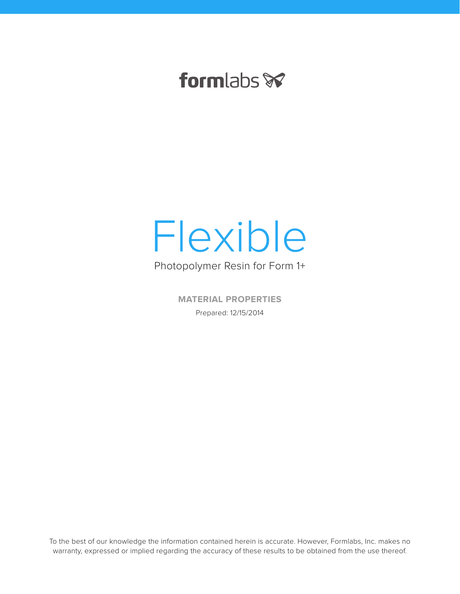## formlabs **x**

## Flexible

Photopolymer Resin for Form 1+

**MATERIAL PROPERTIES** Prepared: 12/15/2014

To the best of our knowledge the information contained herein is accurate. However, Formlabs, Inc. makes no warranty, expressed or implied regarding the accuracy of these results to be obtained from the use thereof.